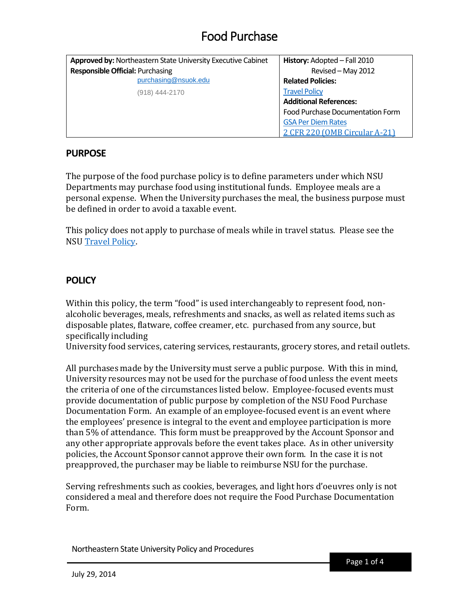| Approved by: Northeastern State University Executive Cabinet | History: Adopted - Fall 2010     |
|--------------------------------------------------------------|----------------------------------|
| <b>Responsible Official: Purchasing</b>                      | Revised - May 2012               |
| purchasing@nsuok.edu                                         | <b>Related Policies:</b>         |
| (918) 444-2170                                               | <b>Travel Policy</b>             |
|                                                              | <b>Additional References:</b>    |
|                                                              | Food Purchase Documentation Form |
|                                                              | <b>GSA Per Diem Rates</b>        |
|                                                              | 2 CFR 220 (OMB Circular A-21)    |

#### **PURPOSE**

The purpose of the food purchase policy is to define parameters under which NSU Departments may purchase food using institutional funds. Employee meals are a personal expense. When the University purchases the meal, the business purpose must be defined in order to avoid a taxable event.

This policy does not apply to purchase of meals while in travel status. Please see the NSU [Travel](http://offices.nsuok.edu/businessaffairs/TRAVEL.aspx) Policy.

#### **POLICY**

Within this policy, the term "food" is used interchangeably to represent food, nonalcoholic beverages, meals, refreshments and snacks, as well as related items such as disposable plates, flatware, coffee creamer, etc. purchased from any source, but specifically including

University food services, catering services, restaurants, grocery stores, and retail outlets.

All purchases made by the University must serve a public purpose. With this in mind, University resources may not be used for the purchase of food unless the event meets the criteria of one of the circumstances listed below. Employee-focused events must provide documentation of public purpose by completion of the NSU Food Purchase Documentation Form. An example of an employee-focused event is an event where the employees' presence is integral to the event and employee participation is more than 5% of attendance. This form must be preapproved by the Account Sponsor and any other appropriate approvals before the event takes place. As in other university policies, the Account Sponsor cannot approve their own form. In the case it is not preapproved, the purchaser may be liable to reimburse NSU for the purchase.

Serving refreshments such as cookies, beverages, and light hors d'oeuvres only is not considered a meal and therefore does not require the Food Purchase Documentation Form.

Northeastern State University Policy and Procedures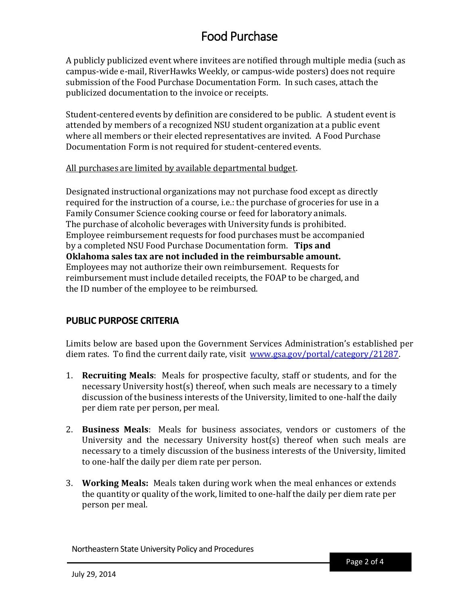A publicly publicized event where invitees are notified through multiple media (such as campus-wide e-mail, RiverHawks Weekly, or campus-wide posters) does not require submission of the Food Purchase Documentation Form. In such cases, attach the publicized documentation to the invoice or receipts.

Student-centered events by definition are considered to be public. A student event is attended by members of a recognized NSU student organization at a public event where all members or their elected representatives are invited. A Food Purchase Documentation Form is not required for student-centered events.

#### All purchases are limited by available departmental budget.

Designated instructional organizations may not purchase food except as directly required for the instruction of a course, i.e.: the purchase of groceries for use in a Family Consumer Science cooking course or feed for laboratory animals. The purchase of alcoholic beverages with University funds is prohibited. Employee reimbursement requests for food purchases must be accompanied by a completed NSU Food Purchase Documentation form. **Tips and Oklahoma sales tax are not included in the reimbursable amount.** Employees may not authorize their own reimbursement. Requests for reimbursement must include detailed receipts, the FOAP to be charged, and the ID number of the employee to be reimbursed.

### **PUBLIC PURPOSE CRITERIA**

Limits below are based upon the Government Services Administration's established per diem rates. To find the current daily rate, visit [www.gsa.gov/portal/category/21287.](http://www.gsa.gov/portal/category/21287)

- 1. **Recruiting Meals**: Meals for prospective faculty, staff or students, and for the necessary University host(s) thereof, when such meals are necessary to a timely discussion of the business interests of the University, limited to one-half the daily per diem rate per person, per meal.
- 2. **Business Meals**: Meals for business associates, vendors or customers of the University and the necessary University host(s) thereof when such meals are necessary to a timely discussion of the business interests of the University, limited to one-half the daily per diem rate per person.
- 3. **Working Meals:** Meals taken during work when the meal enhances or extends the quantity or quality of the work, limited to one-half the daily per diem rate per person per meal.

Northeastern State University Policy and Procedures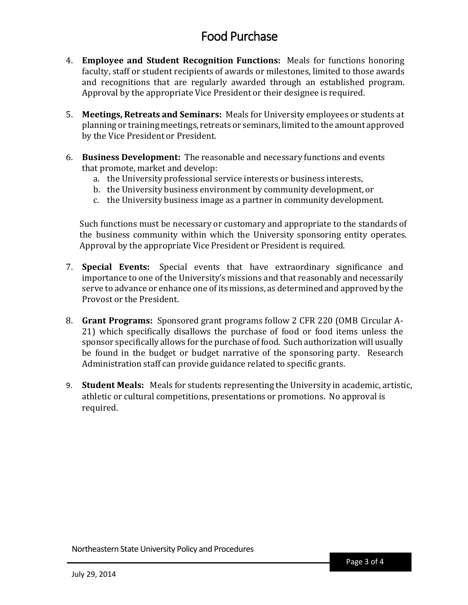- 4. **Employee and Student Recognition Functions:** Meals for functions honoring faculty, staff or student recipients of awards or milestones, limited to those awards and recognitions that are regularly awarded through an established program. Approval by the appropriate Vice President or their designee is required.
- 5. **Meetings, Retreats and Seminars:** Meals for University employees or students at planning or training meetings, retreats or seminars, limited to the amount approved by the Vice President or President.
- 6. **Business Development:** The reasonable and necessary functions and events that promote, market and develop:
	- a. the University professional service interests or business interests,
	- b. the University business environment by community development, or
	- c. the University business image as a partner in community development.

Such functions must be necessary or customary and appropriate to the standards of the business community within which the University sponsoring entity operates. Approval by the appropriate Vice President or President is required.

- 7. **Special Events:** Special events that have extraordinary significance and importance to one of the University's missions and that reasonably and necessarily serve to advance or enhance one of its missions, as determinedand approved by the Provost or the President.
- 8. **Grant Programs:** Sponsored grant programs follow 2 CFR 220 (OMB Circular A-21) which specifically disallows the purchase of food or food items unless the sponsor specifically allows for the purchase of food. Such authorization will usually be found in the budget or budget narrative of the sponsoring party. Research Administration staff can provide guidance related to specific grants.
- 9. **Student Meals:** Meals for students representing the University in academic, artistic, athletic or cultural competitions, presentations or promotions. No approval is required.